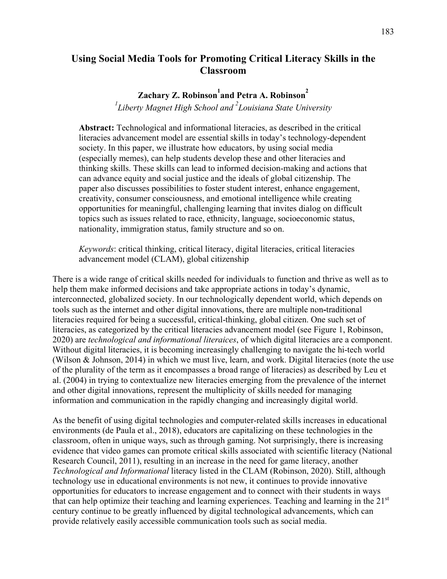## **Using Social Media Tools for Promoting Critical Literacy Skills in the Classroom**

# $\mathbf{Z}$ achary  $\mathbf{Z}$ . Robinson $^{1}$ and Petra A. Robinson $^{2}$

*1 Liberty Magnet High School and <sup>2</sup> Louisiana State University*

**Abstract:** Technological and informational literacies, as described in the critical literacies advancement model are essential skills in today's technology-dependent society. In this paper, we illustrate how educators, by using social media (especially memes), can help students develop these and other literacies and thinking skills. These skills can lead to informed decision-making and actions that can advance equity and social justice and the ideals of global citizenship. The paper also discusses possibilities to foster student interest, enhance engagement, creativity, consumer consciousness, and emotional intelligence while creating opportunities for meaningful, challenging learning that invites dialog on difficult topics such as issues related to race, ethnicity, language, socioeconomic status, nationality, immigration status, family structure and so on.

*Keywords*: critical thinking, critical literacy, digital literacies, critical literacies advancement model (CLAM), global citizenship

There is a wide range of critical skills needed for individuals to function and thrive as well as to help them make informed decisions and take appropriate actions in today's dynamic, interconnected, globalized society. In our technologically dependent world, which depends on tools such as the internet and other digital innovations, there are multiple non**-**traditional literacies required for being a successful, critical-thinking, global citizen. One such set of literacies, as categorized by the critical literacies advancement model (see Figure 1, Robinson, 2020) are *technological and informational literaices*, of which digital literacies are a component. Without digital literacies, it is becoming increasingly challenging to navigate the hi-tech world (Wilson & Johnson, 2014) in which we must live, learn, and work. Digital literacies (note the use of the plurality of the term as it encompasses a broad range of literacies) as described by Leu et al. (2004) in trying to contextualize new literacies emerging from the prevalence of the internet and other digital innovations, represent the multiplicity of skills needed for managing information and communication in the rapidly changing and increasingly digital world.

As the benefit of using digital technologies and computer-related skills increases in educational environments (de Paula et al., 2018), educators are capitalizing on these technologies in the classroom, often in unique ways, such as through gaming. Not surprisingly, there is increasing evidence that video games can promote critical skills associated with scientific literacy (National Research Council, 2011), resulting in an increase in the need for game literacy, another *Technological and Informational* literacy listed in the CLAM (Robinson, 2020). Still, although technology use in educational environments is not new, it continues to provide innovative opportunities for educators to increase engagement and to connect with their students in ways that can help optimize their teaching and learning experiences. Teaching and learning in the 21st century continue to be greatly influenced by digital technological advancements, which can provide relatively easily accessible communication tools such as social media.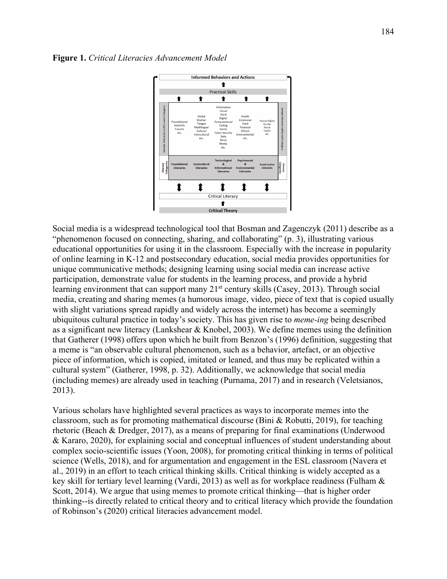



Social media is a widespread technological tool that Bosman and Zagenczyk (2011) describe as a "phenomenon focused on connecting, sharing, and collaborating" (p. 3), illustrating various educational opportunities for using it in the classroom. Especially with the increase in popularity of online learning in K-12 and postsecondary education, social media provides opportunities for unique communicative methods; designing learning using social media can increase active participation, demonstrate value for students in the learning process, and provide a hybrid learning environment that can support many  $21<sup>st</sup>$  century skills (Casey, 2013). Through social media, creating and sharing memes (a humorous image, video, piece of text that is copied usually with slight variations spread rapidly and widely across the internet) has become a seemingly ubiquitous cultural practice in today's society. This has given rise to *meme-ing* being described as a significant new literacy (Lankshear & Knobel, 2003). We define memes using the definition that Gatherer (1998) offers upon which he built from Benzon's (1996) definition, suggesting that a meme is "an observable cultural phenomenon, such as a behavior, artefact, or an objective piece of information, which is copied, imitated or leaned, and thus may be replicated within a cultural system" (Gatherer, 1998, p. 32). Additionally, we acknowledge that social media (including memes) are already used in teaching (Purnama, 2017) and in research (Veletsianos, 2013).

Various scholars have highlighted several practices as ways to incorporate memes into the classroom, such as for promoting mathematical discourse (Bini & Robutti, 2019), for teaching rhetoric (Beach & Dredger, 2017), as a means of preparing for final examinations (Underwood & Kararo, 2020), for explaining social and conceptual influences of student understanding about complex socio-scientific issues (Yoon, 2008), for promoting critical thinking in terms of political science (Wells, 2018), and for argumentation and engagement in the ESL classroom (Navera et al., 2019) in an effort to teach critical thinking skills. Critical thinking is widely accepted as a key skill for tertiary level learning (Vardi, 2013) as well as for workplace readiness (Fulham & Scott, 2014). We argue that using memes to promote critical thinking—that is higher order thinking--is directly related to critical theory and to critical literacy which provide the foundation of Robinson's (2020) critical literacies advancement model.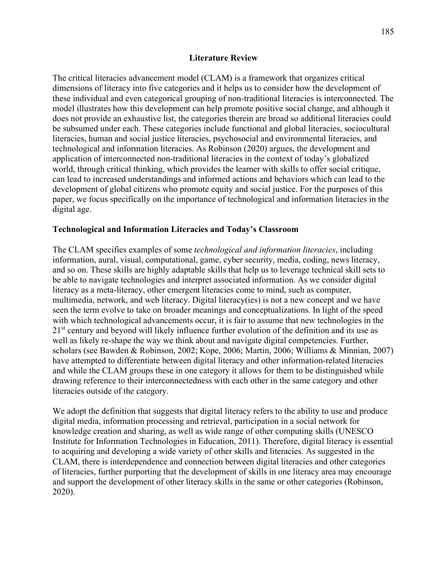### **Literature Review**

The critical literacies advancement model (CLAM) is a framework that organizes critical dimensions of literacy into five categories and it helps us to consider how the development of these individual and even categorical grouping of non-traditional literacies is interconnected. The model illustrates how this development can help promote positive social change, and although it does not provide an exhaustive list, the categories therein are broad so additional literacies could be subsumed under each. These categories include functional and global literacies, sociocultural literacies, human and social justice literacies, psychosocial and environmental literacies, and technological and information literacies. As Robinson (2020) argues, the development and application of interconnected non-traditional literacies in the context of today's globalized world, through critical thinking, which provides the learner with skills to offer social critique, can lead to increased understandings and informed actions and behaviors which can lead to the development of global citizens who promote equity and social justice. For the purposes of this paper, we focus specifically on the importance of technological and information literacies in the digital age.

### **Technological and Information Literacies and Today's Classroom**

The CLAM specifies examples of some *technological and information literacies*, including information, aural, visual, computational, game, cyber security, media, coding, news literacy, and so on. These skills are highly adaptable skills that help us to leverage technical skill sets to be able to navigate technologies and interpret associated information. As we consider digital literacy as a meta-literacy, other emergent literacies come to mind, such as computer, multimedia, network, and web literacy. Digital literacy(ies) is not a new concept and we have seen the term evolve to take on broader meanings and conceptualizations. In light of the speed with which technological advancements occur, it is fair to assume that new technologies in the 21<sup>st</sup> century and beyond will likely influence further evolution of the definition and its use as well as likely re-shape the way we think about and navigate digital competencies. Further, scholars (see Bawden & Robinson, 2002; Kope, 2006; Martin, 2006; Williams & Minnian, 2007) have attempted to differentiate between digital literacy and other information-related literacies and while the CLAM groups these in one category it allows for them to be distinguished while drawing reference to their interconnectedness with each other in the same category and other literacies outside of the category.

We adopt the definition that suggests that digital literacy refers to the ability to use and produce digital media, information processing and retrieval, participation in a social network for knowledge creation and sharing, as well as wide range of other computing skills (UNESCO Institute for Information Technologies in Education, 2011). Therefore, digital literacy is essential to acquiring and developing a wide variety of other skills and literacies. As suggested in the CLAM, there is interdependence and connection between digital literacies and other categories of literacies, further purporting that the development of skills in one literacy area may encourage and support the development of other literacy skills in the same or other categories (Robinson, 2020).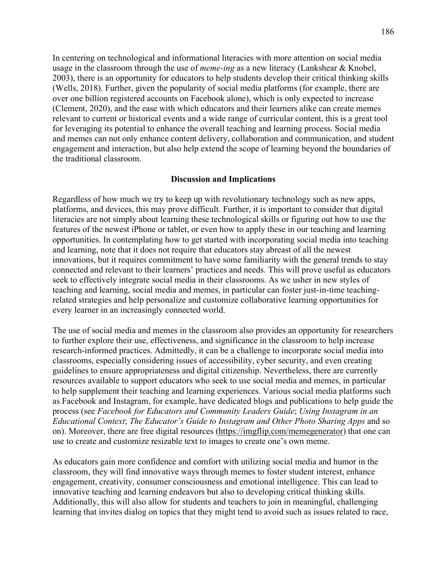In centering on technological and informational literacies with more attention on social media usage in the classroom through the use of *meme-ing* as a new literacy (Lankshear & Knobel, 2003), there is an opportunity for educators to help students develop their critical thinking skills (Wells, 2018). Further, given the popularity of social media platforms (for example, there are over one billion registered accounts on Facebook alone), which is only expected to increase (Clement, 2020), and the ease with which educators and their learners alike can create memes relevant to current or historical events and a wide range of curricular content, this is a great tool for leveraging its potential to enhance the overall teaching and learning process. Social media and memes can not only enhance content delivery, collaboration and communication, and student engagement and interaction, but also help extend the scope of learning beyond the boundaries of the traditional classroom.

#### **Discussion and Implications**

Regardless of how much we try to keep up with revolutionary technology such as new apps, platforms, and devices, this may prove difficult. Further, it is important to consider that digital literacies are not simply about learning these technological skills or figuring out how to use the features of the newest iPhone or tablet, or even how to apply these in our teaching and learning opportunities. In contemplating how to get started with incorporating social media into teaching and learning, note that it does not require that educators stay abreast of all the newest innovations, but it requires commitment to have some familiarity with the general trends to stay connected and relevant to their learners' practices and needs. This will prove useful as educators seek to effectively integrate social media in their classrooms. As we usher in new styles of teaching and learning, social media and memes, in particular can foster just-in-time teachingrelated strategies and help personalize and customize collaborative learning opportunities for every learner in an increasingly connected world.

The use of social media and memes in the classroom also provides an opportunity for researchers to further explore their use, effectiveness, and significance in the classroom to help increase research-informed practices. Admittedly, it can be a challenge to incorporate social media into classrooms, especially considering issues of accessibility, cyber security, and even creating guidelines to ensure appropriateness and digital citizenship. Nevertheless, there are currently resources available to support educators who seek to use social media and memes, in particular to help supplement their teaching and learning experiences. Various social media platforms such as Facebook and Instagram, for example, have dedicated blogs and publications to help guide the process (see *Facebook for Educators and Community Leaders Guide*; *Using Instagram in an Educational Context*; *The Educator's Guide to Instagram and Other Photo Sharing Apps* and so on). Moreover, there are free digital resources [\(https://imgflip.com/memegenerator\)](https://imgflip.com/memegenerator) that one can use to create and customize resizable text to images to create one's own meme.

As educators gain more confidence and comfort with utilizing social media and humor in the classroom, they will find innovative ways through memes to foster student interest, enhance engagement, creativity, consumer consciousness and emotional intelligence. This can lead to innovative teaching and learning endeavors but also to developing critical thinking skills. Additionally, this will also allow for students and teachers to join in meaningful, challenging learning that invites dialog on topics that they might tend to avoid such as issues related to race,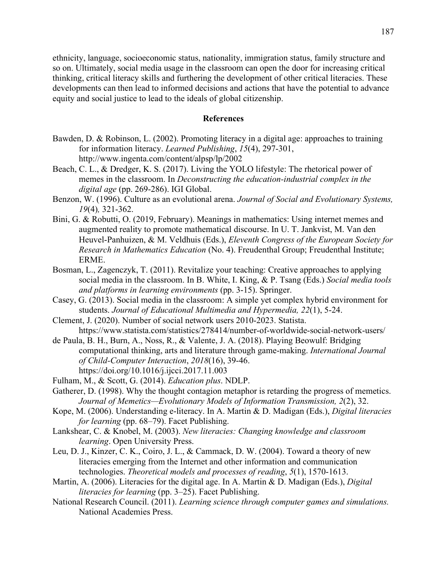ethnicity, language, socioeconomic status, nationality, immigration status, family structure and so on. Ultimately, social media usage in the classroom can open the door for increasing critical thinking, critical literacy skills and furthering the development of other critical literacies. These developments can then lead to informed decisions and actions that have the potential to advance equity and social justice to lead to the ideals of global citizenship.

### **References**

- Bawden, D. & Robinson, L. (2002). Promoting literacy in a digital age: approaches to training for information literacy. *Learned Publishing*, *15*(4), 297-301, <http://www.ingenta.com/content/alpsp/lp/2002>
- Beach, C. L., & Dredger, K. S. (2017). Living the YOLO lifestyle: The rhetorical power of memes in the classroom. In *Deconstructing the education-industrial complex in the digital age* (pp. 269-286). IGI Global.
- Benzon, W. (1996). Culture as an evolutional arena. *Journal of Social and Evolutionary Systems, 19*(4)*,* 321-362.
- Bini, G. & Robutti, O. (2019, February). Meanings in mathematics: Using internet memes and augmented reality to promote mathematical discourse. In U. T. Jankvist, M. Van den Heuvel-Panhuizen, & M. Veldhuis (Eds.), *Eleventh Congress of the European Society for Research in Mathematics Education* (No. 4). Freudenthal Group; Freudenthal Institute; ERME.
- Bosman, L., Zagenczyk, T. (2011). Revitalize your teaching: Creative approaches to applying social media in the classroom. In B. White, I. King, & P. Tsang (Eds.) *Social media tools and platforms in learning environments* (pp. 3-15). Springer.
- Casey, G. (2013). Social media in the classroom: A simple yet complex hybrid environment for students. *Journal of Educational Multimedia and Hypermedia, 22*(1), 5-24.
- Clement, J. (2020). Number of social network users 2010-2023. Statista. <https://www.statista.com/statistics/278414/number-of-worldwide-social-network-users/>
- de Paula, B. H., Burn, A., Noss, R., & Valente, J. A. (2018). Playing Beowulf: Bridging computational thinking, arts and literature through game-making. *International Journal of Child-Computer Interaction*, *2018*(16), 39-46. https://doi.org/10.1016/j.ijcci.2017.11.003
- Fulham, M., & Scott, G. (2014). *Education plus*. NDLP.
- Gatherer, D. (1998). Why the thought contagion metaphor is retarding the progress of memetics. *Journal of Memetics—Evolutionary Models of Information Transmission, 2*(2), 32.
- Kope, M. (2006). Understanding e-literacy. In A. Martin & D. Madigan (Eds.), *Digital literacies for learning* (pp. 68–79). Facet Publishing.
- Lankshear, C. & Knobel, M. (2003). *New literacies: Changing knowledge and classroom learning*. Open University Press.
- Leu, D. J., Kinzer, C. K., Coiro, J. L., & Cammack, D. W. (2004). Toward a theory of new literacies emerging from the Internet and other information and communication technologies. *Theoretical models and processes of reading*, *5*(1), 1570-1613.
- Martin, A. (2006). Literacies for the digital age. In A. Martin & D. Madigan (Eds.), *Digital literacies for learning* (pp. 3–25). Facet Publishing.
- National Research Council. (2011). *Learning science through computer games and simulations.* National Academies Press.